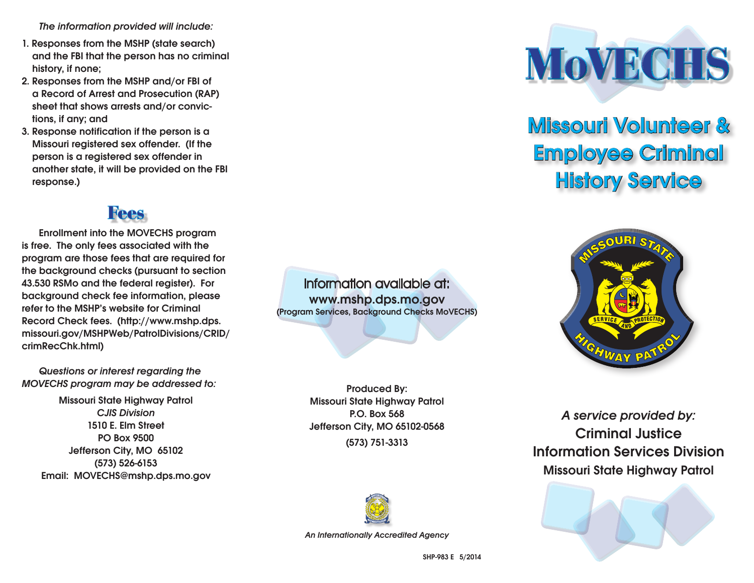The information provided will include:

- 1. Responses from the MSHP (state search) and the FBI that the person has no criminal history, if none;
- 2. Responses from the MSHP and/or FBI of a Record of Arrest and Prosecution (RAP) sheet that shows arrests and/or convictions, if any; and
- 3. Response notification if the person is a Missouri registered sex offender. (If the person is a registered sex offender in another state, it will be provided on the FBI response.)

#### Fees

Enrollment into the MOVECHS program is free. The only fees associated with the program are those fees that are required for the background checks (pursuant to section 43.530 RSMo and the federal register). For background check fee information, please refer to the MSHP's website for Criminal Record Check fees. (http://www.mshp.dps. missouri.gov/MSHPWeb/PatrolDivisions/CRID/ crimRecChk.html)

Questions or interest regarding the MOVECHS program may be addressed to:

Missouri State Highway Patrol CJIS Division 1510 E. Elm Street PO Box 9500 Jefferson City, MO 65102 (573) 526-6153 Email: MOVECHS@mshp.dps.mo.gov

Information available at: www.mshp.dps.mo.gov (Program Services, Background Checks MoVECHS)

> Produced By: Missouri State Highway Patrol P.O. Box 568 Jefferson City, MO 65102-0568

(573) 751-3313



An Internationally Accredited Agency



## Missouri Volunteer & Employee Criminal **History Service**



A service provided by: Criminal Justice Information Services Division Missouri State Highway Patrol